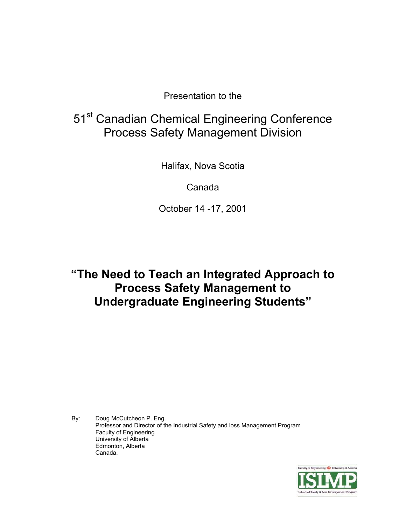Presentation to the

## 51<sup>st</sup> Canadian Chemical Engineering Conference Process Safety Management Division

Halifax, Nova Scotia

Canada

October 14 -17, 2001

### **"The Need to Teach an Integrated Approach to Process Safety Management to Undergraduate Engineering Students"**

By: Doug McCutcheon P. Eng. Professor and Director of the Industrial Safety and loss Management Program Faculty of Engineering University of Alberta Edmonton, Alberta Canada.

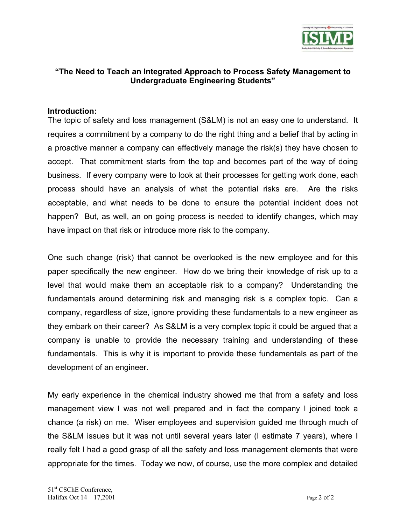

#### **"The Need to Teach an Integrated Approach to Process Safety Management to Undergraduate Engineering Students"**

#### **Introduction:**

The topic of safety and loss management (S&LM) is not an easy one to understand. It requires a commitment by a company to do the right thing and a belief that by acting in a proactive manner a company can effectively manage the risk(s) they have chosen to accept. That commitment starts from the top and becomes part of the way of doing business. If every company were to look at their processes for getting work done, each process should have an analysis of what the potential risks are. Are the risks acceptable, and what needs to be done to ensure the potential incident does not happen? But, as well, an on going process is needed to identify changes, which may have impact on that risk or introduce more risk to the company.

One such change (risk) that cannot be overlooked is the new employee and for this paper specifically the new engineer. How do we bring their knowledge of risk up to a level that would make them an acceptable risk to a company? Understanding the fundamentals around determining risk and managing risk is a complex topic. Can a company, regardless of size, ignore providing these fundamentals to a new engineer as they embark on their career? As S&LM is a very complex topic it could be argued that a company is unable to provide the necessary training and understanding of these fundamentals. This is why it is important to provide these fundamentals as part of the development of an engineer.

My early experience in the chemical industry showed me that from a safety and loss management view I was not well prepared and in fact the company I joined took a chance (a risk) on me. Wiser employees and supervision guided me through much of the S&LM issues but it was not until several years later (I estimate 7 years), where I really felt I had a good grasp of all the safety and loss management elements that were appropriate for the times. Today we now, of course, use the more complex and detailed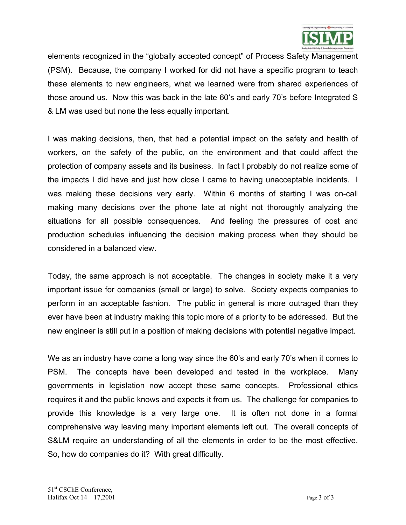

elements recognized in the "globally accepted concept" of Process Safety Management (PSM). Because, the company I worked for did not have a specific program to teach these elements to new engineers, what we learned were from shared experiences of those around us. Now this was back in the late 60's and early 70's before Integrated S & LM was used but none the less equally important.

I was making decisions, then, that had a potential impact on the safety and health of workers, on the safety of the public, on the environment and that could affect the protection of company assets and its business. In fact I probably do not realize some of the impacts I did have and just how close I came to having unacceptable incidents. I was making these decisions very early. Within 6 months of starting I was on-call making many decisions over the phone late at night not thoroughly analyzing the situations for all possible consequences. And feeling the pressures of cost and production schedules influencing the decision making process when they should be considered in a balanced view.

Today, the same approach is not acceptable. The changes in society make it a very important issue for companies (small or large) to solve. Society expects companies to perform in an acceptable fashion. The public in general is more outraged than they ever have been at industry making this topic more of a priority to be addressed. But the new engineer is still put in a position of making decisions with potential negative impact.

We as an industry have come a long way since the 60's and early 70's when it comes to PSM. The concepts have been developed and tested in the workplace. Many governments in legislation now accept these same concepts. Professional ethics requires it and the public knows and expects it from us. The challenge for companies to provide this knowledge is a very large one. It is often not done in a formal comprehensive way leaving many important elements left out. The overall concepts of S&LM require an understanding of all the elements in order to be the most effective. So, how do companies do it? With great difficulty.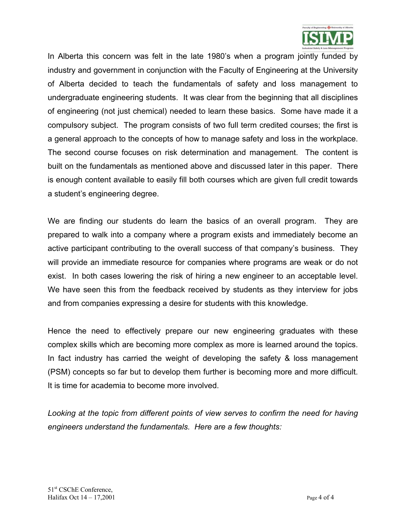

In Alberta this concern was felt in the late 1980's when a program jointly funded by industry and government in conjunction with the Faculty of Engineering at the University of Alberta decided to teach the fundamentals of safety and loss management to undergraduate engineering students. It was clear from the beginning that all disciplines of engineering (not just chemical) needed to learn these basics. Some have made it a compulsory subject. The program consists of two full term credited courses; the first is a general approach to the concepts of how to manage safety and loss in the workplace. The second course focuses on risk determination and management. The content is built on the fundamentals as mentioned above and discussed later in this paper. There is enough content available to easily fill both courses which are given full credit towards a student's engineering degree.

We are finding our students do learn the basics of an overall program. They are prepared to walk into a company where a program exists and immediately become an active participant contributing to the overall success of that company's business. They will provide an immediate resource for companies where programs are weak or do not exist. In both cases lowering the risk of hiring a new engineer to an acceptable level. We have seen this from the feedback received by students as they interview for jobs and from companies expressing a desire for students with this knowledge.

Hence the need to effectively prepare our new engineering graduates with these complex skills which are becoming more complex as more is learned around the topics. In fact industry has carried the weight of developing the safety & loss management (PSM) concepts so far but to develop them further is becoming more and more difficult. It is time for academia to become more involved.

*Looking at the topic from different points of view serves to confirm the need for having engineers understand the fundamentals. Here are a few thoughts:*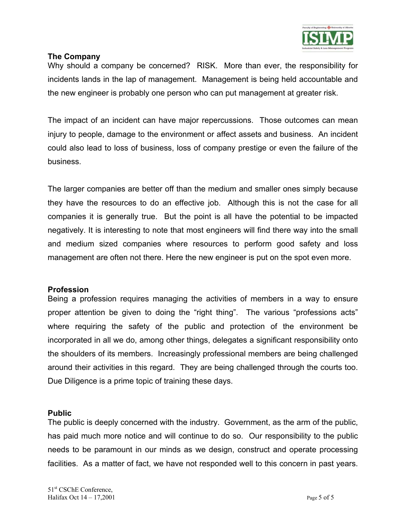

#### **The Company**

Why should a company be concerned? RISK. More than ever, the responsibility for incidents lands in the lap of management. Management is being held accountable and the new engineer is probably one person who can put management at greater risk.

The impact of an incident can have major repercussions. Those outcomes can mean injury to people, damage to the environment or affect assets and business. An incident could also lead to loss of business, loss of company prestige or even the failure of the business.

The larger companies are better off than the medium and smaller ones simply because they have the resources to do an effective job. Although this is not the case for all companies it is generally true. But the point is all have the potential to be impacted negatively. It is interesting to note that most engineers will find there way into the small and medium sized companies where resources to perform good safety and loss management are often not there. Here the new engineer is put on the spot even more.

#### **Profession**

Being a profession requires managing the activities of members in a way to ensure proper attention be given to doing the "right thing". The various "professions acts" where requiring the safety of the public and protection of the environment be incorporated in all we do, among other things, delegates a significant responsibility onto the shoulders of its members. Increasingly professional members are being challenged around their activities in this regard. They are being challenged through the courts too. Due Diligence is a prime topic of training these days.

#### **Public**

The public is deeply concerned with the industry. Government, as the arm of the public, has paid much more notice and will continue to do so. Our responsibility to the public needs to be paramount in our minds as we design, construct and operate processing facilities. As a matter of fact, we have not responded well to this concern in past years.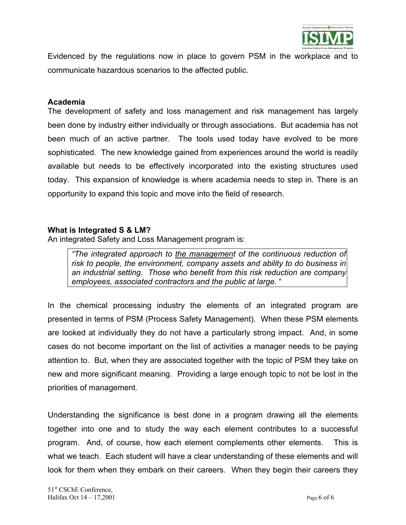

Evidenced by the regulations now in place to govern PSM in the workplace and to communicate hazardous scenarios to the affected public.

#### **Academia**

The development of safety and loss management and risk management has largely been done by industry either individually or through associations. But academia has not been much of an active partner. The tools used today have evolved to be more sophisticated. The new knowledge gained from experiences around the world is readily available but needs to be effectively incorporated into the existing structures used today. This expansion of knowledge is where academia needs to step in. There is an opportunity to expand this topic and move into the field of research.

#### **What is Integrated S & LM?**

An integrated Safety and Loss Management program is:

*"The integrated approach to the management of the continuous reduction of risk to people, the environment, company assets and ability to do business in an industrial setting. Those who benefit from this risk reduction are company employees, associated contractors and the public at large.* "

In the chemical processing industry the elements of an integrated program are presented in terms of PSM (Process Safety Management). When these PSM elements are looked at individually they do not have a particularly strong impact. And, in some cases do not become important on the list of activities a manager needs to be paying attention to. But, when they are associated together with the topic of PSM they take on new and more significant meaning. Providing a large enough topic to not be lost in the priorities of management.

Understanding the significance is best done in a program drawing all the elements together into one and to study the way each element contributes to a successful program. And, of course, how each element complements other elements. This is what we teach. Each student will have a clear understanding of these elements and will look for them when they embark on their careers. When they begin their careers they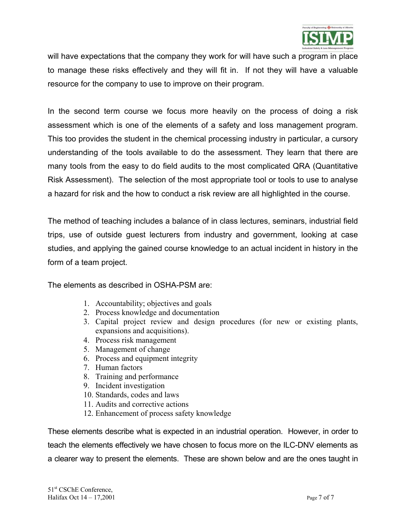

will have expectations that the company they work for will have such a program in place to manage these risks effectively and they will fit in. If not they will have a valuable resource for the company to use to improve on their program.

In the second term course we focus more heavily on the process of doing a risk assessment which is one of the elements of a safety and loss management program. This too provides the student in the chemical processing industry in particular, a cursory understanding of the tools available to do the assessment. They learn that there are many tools from the easy to do field audits to the most complicated QRA (Quantitative Risk Assessment). The selection of the most appropriate tool or tools to use to analyse a hazard for risk and the how to conduct a risk review are all highlighted in the course.

The method of teaching includes a balance of in class lectures, seminars, industrial field trips, use of outside guest lecturers from industry and government, looking at case studies, and applying the gained course knowledge to an actual incident in history in the form of a team project.

The elements as described in OSHA-PSM are:

- 1. Accountability; objectives and goals
- 2. Process knowledge and documentation
- 3. Capital project review and design procedures (for new or existing plants, expansions and acquisitions).
- 4. Process risk management
- 5. Management of change
- 6. Process and equipment integrity
- 7. Human factors
- 8. Training and performance
- 9. Incident investigation
- 10. Standards, codes and laws
- 11. Audits and corrective actions
- 12. Enhancement of process safety knowledge

These elements describe what is expected in an industrial operation. However, in order to teach the elements effectively we have chosen to focus more on the ILC-DNV elements as a clearer way to present the elements. These are shown below and are the ones taught in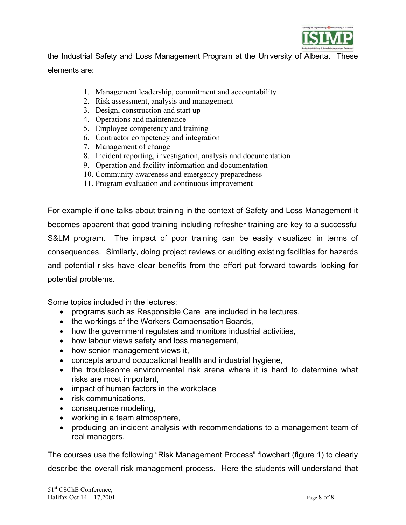

the Industrial Safety and Loss Management Program at the University of Alberta. These elements are:

- 1. Management leadership, commitment and accountability
- 2. Risk assessment, analysis and management
- 3. Design, construction and start up
- 4. Operations and maintenance
- 5. Employee competency and training
- 6. Contractor competency and integration
- 7. Management of change
- 8. Incident reporting, investigation, analysis and documentation
- 9. Operation and facility information and documentation
- 10. Community awareness and emergency preparedness
- 11. Program evaluation and continuous improvement

For example if one talks about training in the context of Safety and Loss Management it becomes apparent that good training including refresher training are key to a successful S&LM program. The impact of poor training can be easily visualized in terms of consequences. Similarly, doing project reviews or auditing existing facilities for hazards and potential risks have clear benefits from the effort put forward towards looking for potential problems.

Some topics included in the lectures:

- programs such as Responsible Care are included in he lectures.
- the workings of the Workers Compensation Boards,
- how the government regulates and monitors industrial activities,
- how labour views safety and loss management,
- how senior management views it,
- concepts around occupational health and industrial hygiene,
- the troublesome environmental risk arena where it is hard to determine what risks are most important,
- impact of human factors in the workplace
- risk communications,
- consequence modeling,
- working in a team atmosphere,
- producing an incident analysis with recommendations to a management team of real managers.

The courses use the following "Risk Management Process" flowchart (figure 1) to clearly describe the overall risk management process. Here the students will understand that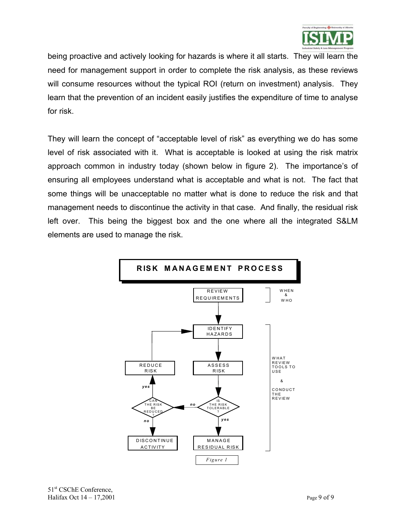

being proactive and actively looking for hazards is where it all starts. They will learn the need for management support in order to complete the risk analysis, as these reviews will consume resources without the typical ROI (return on investment) analysis. They learn that the prevention of an incident easily justifies the expenditure of time to analyse for risk.

They will learn the concept of "acceptable level of risk" as everything we do has some level of risk associated with it. What is acceptable is looked at using the risk matrix approach common in industry today (shown below in figure 2). The importance's of ensuring all employees understand what is acceptable and what is not. The fact that some things will be unacceptable no matter what is done to reduce the risk and that management needs to discontinue the activity in that case. And finally, the residual risk left over. This being the biggest box and the one where all the integrated S&LM elements are used to manage the risk.

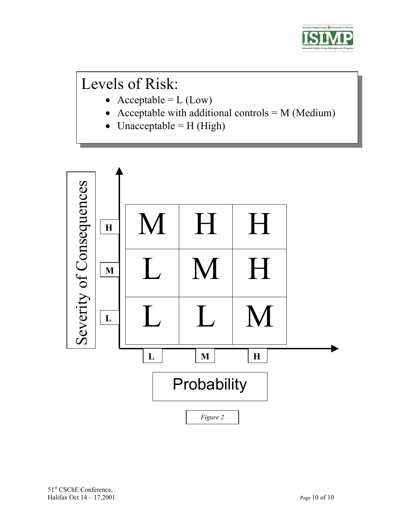

# Levels of Risk:

- Acceptable =  $L (Low)$
- Acceptable with additional controls  $= M$  (Medium)
- Unacceptable =  $H$  (High)

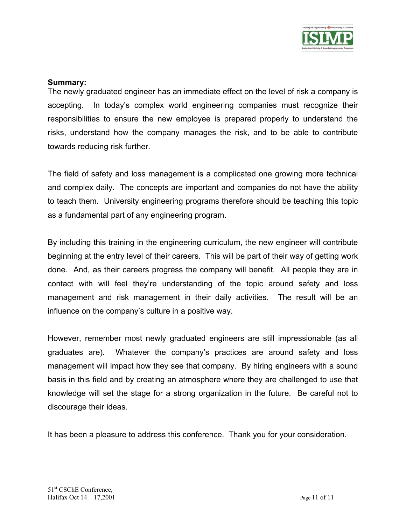

#### **Summary:**

The newly graduated engineer has an immediate effect on the level of risk a company is accepting. In today's complex world engineering companies must recognize their responsibilities to ensure the new employee is prepared properly to understand the risks, understand how the company manages the risk, and to be able to contribute towards reducing risk further.

The field of safety and loss management is a complicated one growing more technical and complex daily. The concepts are important and companies do not have the ability to teach them. University engineering programs therefore should be teaching this topic as a fundamental part of any engineering program.

By including this training in the engineering curriculum, the new engineer will contribute beginning at the entry level of their careers. This will be part of their way of getting work done. And, as their careers progress the company will benefit. All people they are in contact with will feel they're understanding of the topic around safety and loss management and risk management in their daily activities. The result will be an influence on the company's culture in a positive way.

However, remember most newly graduated engineers are still impressionable (as all graduates are). Whatever the company's practices are around safety and loss management will impact how they see that company. By hiring engineers with a sound basis in this field and by creating an atmosphere where they are challenged to use that knowledge will set the stage for a strong organization in the future. Be careful not to discourage their ideas.

It has been a pleasure to address this conference. Thank you for your consideration.